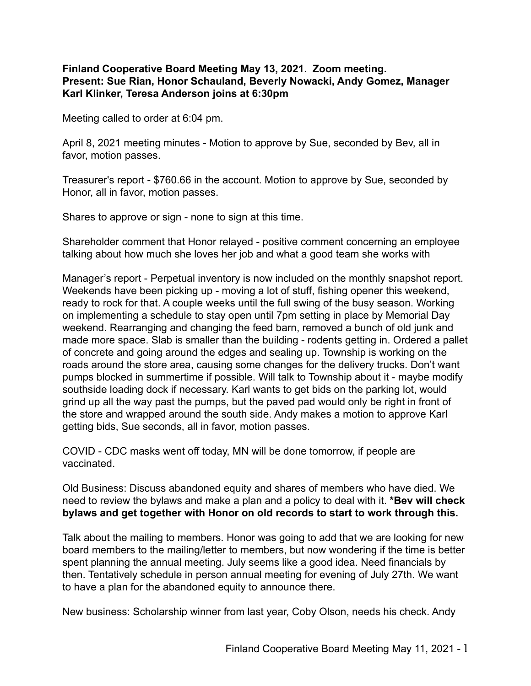## **Finland Cooperative Board Meeting May 13, 2021. Zoom meeting. Present: Sue Rian, Honor Schauland, Beverly Nowacki, Andy Gomez, Manager Karl Klinker, Teresa Anderson joins at 6:30pm**

Meeting called to order at 6:04 pm.

April 8, 2021 meeting minutes - Motion to approve by Sue, seconded by Bev, all in favor, motion passes.

Treasurer's report - \$760.66 in the account. Motion to approve by Sue, seconded by Honor, all in favor, motion passes.

Shares to approve or sign - none to sign at this time.

Shareholder comment that Honor relayed - positive comment concerning an employee talking about how much she loves her job and what a good team she works with

Manager's report - Perpetual inventory is now included on the monthly snapshot report. Weekends have been picking up - moving a lot of stuff, fishing opener this weekend, ready to rock for that. A couple weeks until the full swing of the busy season. Working on implementing a schedule to stay open until 7pm setting in place by Memorial Day weekend. Rearranging and changing the feed barn, removed a bunch of old junk and made more space. Slab is smaller than the building - rodents getting in. Ordered a pallet of concrete and going around the edges and sealing up. Township is working on the roads around the store area, causing some changes for the delivery trucks. Don't want pumps blocked in summertime if possible. Will talk to Township about it - maybe modify southside loading dock if necessary. Karl wants to get bids on the parking lot, would grind up all the way past the pumps, but the paved pad would only be right in front of the store and wrapped around the south side. Andy makes a motion to approve Karl getting bids, Sue seconds, all in favor, motion passes.

COVID - CDC masks went off today, MN will be done tomorrow, if people are vaccinated.

Old Business: Discuss abandoned equity and shares of members who have died. We need to review the bylaws and make a plan and a policy to deal with it. **\*Bev will check bylaws and get together with Honor on old records to start to work through this.**

Talk about the mailing to members. Honor was going to add that we are looking for new board members to the mailing/letter to members, but now wondering if the time is better spent planning the annual meeting. July seems like a good idea. Need financials by then. Tentatively schedule in person annual meeting for evening of July 27th. We want to have a plan for the abandoned equity to announce there.

New business: Scholarship winner from last year, Coby Olson, needs his check. Andy